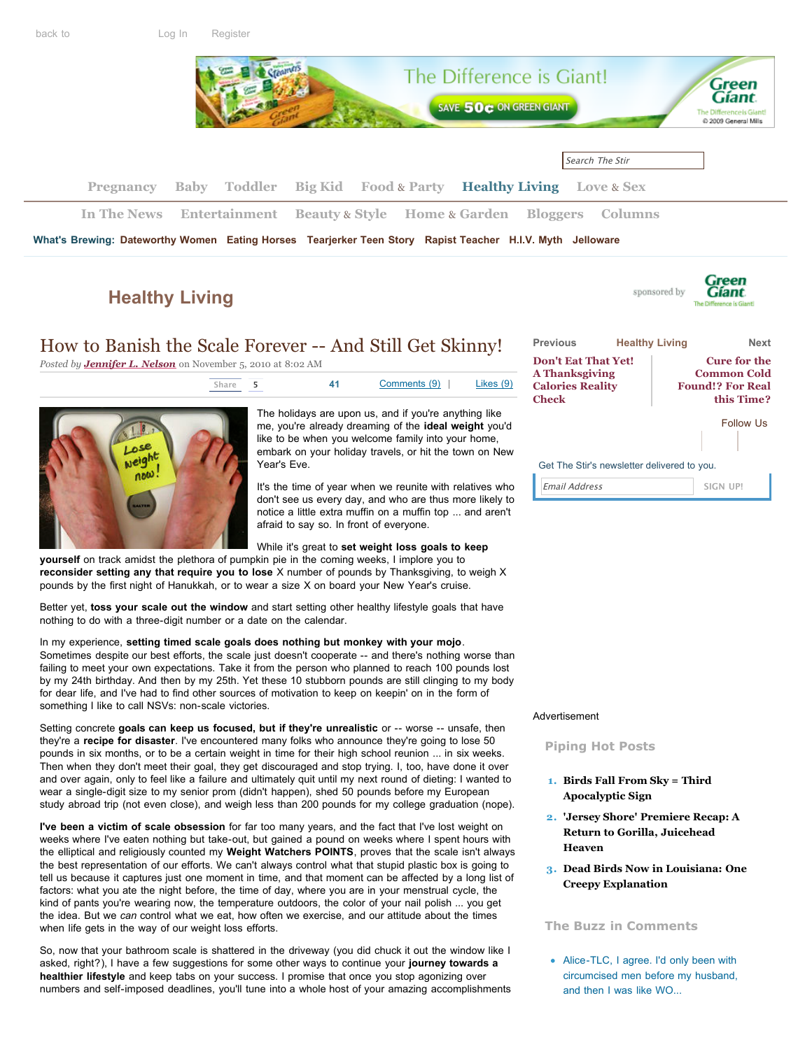

# **[Healthy Living](http://thestir.cafemom.com/healthy_living)**

# How to Banish the Scale Forever -- And Still Get Skinny!

*Posted by [Jennifer L. Nelson](http://thestir.cafemom.com/blogger/84/jennifer_l_nelson)* on November 5, 2010 at 8:02 AM



The holidays are upon us, and if you're anything like me, you're already dreaming of the **ideal weight** you'd [like to be when you welcome family into your home,](http://feeds.feedburner.com/cafemom/thestir/healthy_living) embark on your holiday travels, or hit the town on New Year's Eve.

It's the time of year when we reunite with relatives who don't see us every day, and who are thus more likely to notice a little extra muffin on a muffin top ... and aren't afraid to say so. In front of everyone.

### While it's great to **set weight loss goals to keep**

**yourself** on track amidst the plethora of pumpkin pie in the coming weeks, I implore you to **reconsider setting any that require you to lose** X number of pounds by Thanksgiving, to weigh X pounds by the first night of Hanukkah, or to wear a size X on board your New Year's cruise.

Better yet, **toss your scale out the window** and start setting other healthy lifestyle goals that have nothing to do with a three-digit number or a date on the calendar.

In my experience, **setting timed scale goals does nothing but monkey with your mojo**. Sometimes despite our best efforts, the scale just doesn't cooperate -- and there's nothing worse than failing to meet your own expectations. Take it from the person who planned to reach 100 pounds lost by my 24th birthday. And then by my 25th. Yet these 10 stubborn pounds are still clinging to my body for dear life, and I've had to find other sources of motivation to keep on keepin' on in the form of something I like to call NSVs: non-scale victories.

Setting concrete **goals can keep us focused, but if they're unrealistic** or -- worse -- unsafe, then they're a **recipe for disaster**. I've encountered many folks who announce they're going to lose 50 pounds in six months, or to be a certain weight in time for their high school reunion ... in six weeks. Then when they don't meet their goal, they get discouraged and stop trying. I, too, have done it over and over again, only to feel like a failure and ultimately quit until my next round of dieting: I wanted to wear a single-digit size to my senior prom (didn't happen), shed 50 pounds before my European study abroad trip (not even close), and weigh less than 200 pounds for my college graduation (nope).

**I've been a victim of scale obsession** for far too many years, and the fact that I've lost weight on weeks where I've eaten nothing but take-out, but gained a pound on weeks where I spent hours with the elliptical and religiously counted my **Weight Watchers POINTS**, proves that the scale isn't always the best representation of our efforts. We can't always control what that stupid plastic box is going to tell us because it captures just one moment in time, and that moment can be affected by a long list of factors: what you ate the night before, the time of day, where you are in your menstrual cycle, the kind of pants you're wearing now, the temperature outdoors, the color of your nail polish ... you get the idea. But we *can* control what we eat, how often we exercise, and our attitude about the times when life gets in the way of our weight loss efforts.

So, now that your bathroom scale is shattered in the driveway (you did chuck it out the window like I asked, right?), I have a few suggestions for some other ways to continue your **journey towards a healthier lifestyle** and keep tabs on your success. I promise that once you stop agonizing over numbers and self-imposed deadlines, you'll tune into a whole host of your amazing accomplishments



sponsored by

Green

**Gíant** 

Get The Stir's newsletter delivered to you.

Email Address **SIGN UP!**

#### Advertisement

#### **Piping Hot Posts**

- **1. [Birds Fall From Sky = Third](http://thestir.cafemom.com/home_garden/114535/birds_fall_from_sky_third) Apocalyptic Sign**
- **2. ['Jersey Shore' Premiere Recap: A](http://thestir.cafemom.com/entertainment/114724/jersey_shore_premiere_recap_a) Return to Gorilla, Juicehead Heaven**
- **3. [Dead Birds Now in Louisiana: One](http://thestir.cafemom.com/in_the_news/114588/dead_birds_now_in_louisiana) Creepy Explanation**

#### **The Buzz in Comments**

• Alice-TLC, I agree. I'd only been with **Needs Family** circumcised men before my husband, and then I was like WO...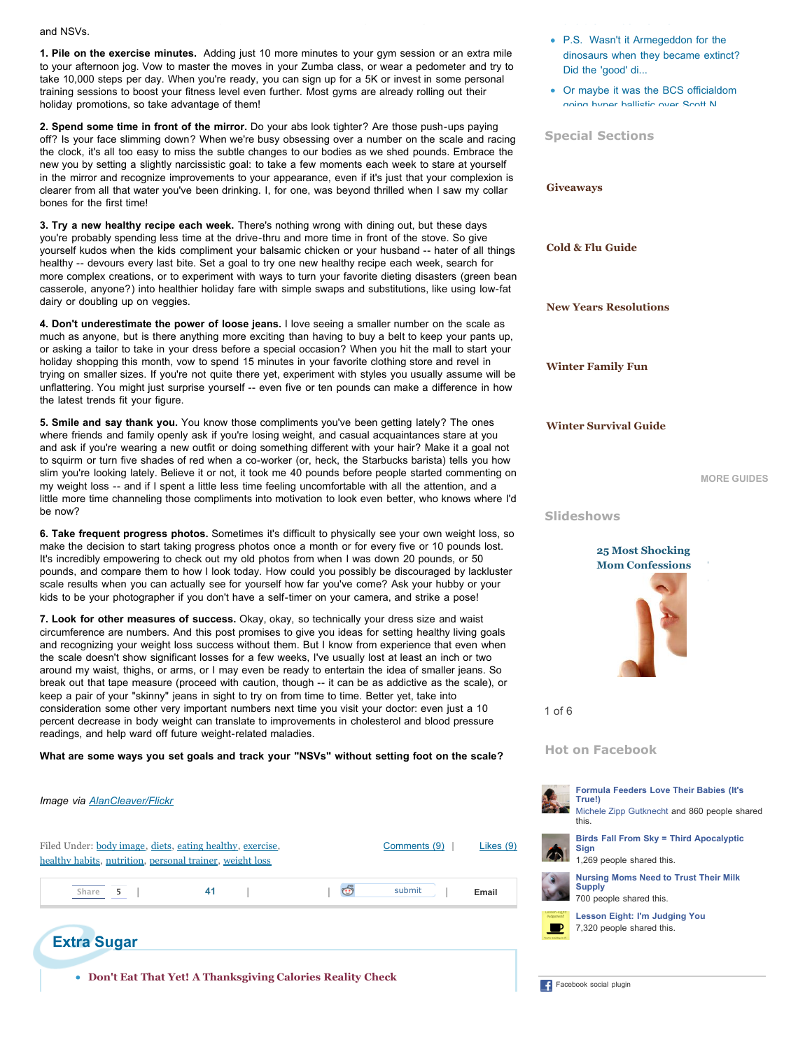and NSVs.

**1. Pile on the exercise minutes.** Adding just 10 more minutes to your gym session or an extra mile to your afternoon jog. Vow to master the moves in your Zumba class, or wear a pedometer and try to take 10,000 steps per day. When you're ready, you can sign up for a 5K or invest in some personal training sessions to boost your fitness level even further. Most gyms are already rolling out their holiday promotions, so take advantage of them!

**2. Spend some time in front of the mirror.** Do your abs look tighter? Are those push-ups paying off? Is your face slimming down? When we're busy obsessing over a number on the scale and racing the clock, it's all too easy to miss the subtle changes to our bodies as we shed pounds. Embrace the new you by setting a slightly narcissistic goal: to take a few moments each week to stare at yourself in the mirror and recognize improvements to your appearance, even if it's just that your complexion is [clearer from all that water you've been drinking. I, for one, was beyond thrilled when I saw my collar](http://thestir.cafemom.com/guide/giveaways) bones for the first time!

**3. Try a new healthy recipe each week.** There's nothing wrong with dining out, but these days you're probably spending less time at the drive-thru and more time in front of the stove. So give [yourself kudos when the kids compliment your balsamic chicken or your husband -- hater of all things](http://thestir.cafemom.com/guide/cold_flu_guide) healthy -- devours every last bite. Set a goal to try one new healthy recipe each week, search for more complex creations, or to experiment with ways to turn your favorite dieting disasters (green bean casserole, anyone?) into healthier holiday fare with simple swaps and substitutions, like using low-fat dairy or doubling up on veggies.

**4. Don't underestimate the power of loose jeans.** I love seeing a smaller number on the scale as [much as anyone, but is there anything more exciting than having to buy a belt to keep your pants up,](http://thestir.cafemom.com/guide/resolutions_guide) or asking a tailor to take in your dress before a special occasion? When you hit the mall to start your holiday shopping this month, vow to spend 15 minutes in your favorite clothing store and revel in [trying on smaller sizes. If you're not quite there yet, experiment with styles you usually assume will be](http://thestir.cafemom.com/guide/winter_family_fun) unflattering. You might just surprise yourself -- even five or ten pounds can make a difference in how the latest trends fit your figure.

**5. Smile and say thank you.** You know those compliments you've been getting lately? The ones where friends and family openly ask if you're losing weight, and casual acquaintances stare at you [and ask if you're wearing a new outfit or doing something different with your hair? Make it a goal not](http://thestir.cafemom.com/guide/winter_survival_guide) to squirm or turn five shades of red when a co-worker (or, heck, the Starbucks barista) tells you how slim you're looking lately. Believe it or not, it took me 40 pounds before people started commenting on my weight loss -- and if I spent a little less time feeling uncomfortable with all the attention, and a little more time channeling those compliments into motivation to look even better, who knows where I'd be now?

**6. Take frequent progress photos.** Sometimes it's difficult to physically see your own weight loss, so make the decision to start taking progress photos once a month or for every five or 10 pounds lost. It's incredibly empowering to check out my old photos from when I was down 20 pounds, or 50 pounds, and compare them to how I look today. How could you possibly be discouraged by lackluster scale results when you can actually see for yourself how far you've come? Ask your hubby or your kids to be your photographer if you don't have a self-timer on your camera, and strike a pose!

**7. Look for other measures of success.** Okay, okay, so technically your dress size and waist circumference are numbers. And this post promises to give you ideas for setting healthy living goals and recognizing your weight loss success without them. But I know from experience that even when the scale doesn't show significant losses for a few weeks, I've usually lost at least an inch or two around my waist, thighs, or arms, or I may even be ready to entertain the idea of smaller jeans. So break out that tape measure (proceed with caution, though -- it can be as addictive as the scale), or keep a pair of your "skinny" jeans in sight to try on from time to time. Better yet, take into consideration some other very important numbers next time you visit your doctor: even just a 10 percent decrease in body weight can translate to improvements in cholesterol and blood pressure readings, and help ward off future weight-related maladies.

#### **What are some ways you set goals and track your "NSVs" without setting foot on the scale?**

| Image via AlanCleaver/Flickr                                                                                                                         | True!)<br>Michele Zipp (<br>this.                                           |
|------------------------------------------------------------------------------------------------------------------------------------------------------|-----------------------------------------------------------------------------|
| Filed Under: body image, diets, eating healthy, exercise,<br>Comments (9)<br>Likes $(9)$<br>healthy habits, nutrition, personal trainer, weight loss | <b>Birds Fall Fro</b><br><b>Sign</b><br>1,269 people                        |
| submit<br>41<br>$\mathbf{C}$<br>Share<br>Email<br>5                                                                                                  | <b>Nursing Mom</b><br><b>Supply</b><br>700 people sh                        |
| <b>Extra Sugar</b>                                                                                                                                   | <b>Lesson Eight</b><br>Jadgement<br>7,320 people<br>fractes Stabling in II. |
| • Don't Eat That Yet! A Thanksgiving Calories Reality Check                                                                                          | Facebook social plugin                                                      |

P.S. Wasn't it Armegeddon for the [dinosaurs when they became extinct?](http://thestir.cafemom.com/home_garden/114535/birds_fall_from_sky_third#comment_290275) Did the 'good' di...

[Or maybe it was the BCS officialdom](http://thestir.cafemom.com/in_the_news/114588/dead_birds_now_in_louisiana#comment_290274) going hyper hallietin over Scott N.

Special Sections

**Giveaways Cold & Flu Guide New Years Resolutions Winter Family Fun** not give side affects that makes me pop **Winter Survival Guide** 

**[MORE GUIDES](http://thestir.cafemom.com/special_sections)**

**Slideshows**



1 of 6

**Hot on Facebook**



**True!)** [Michele Zipp Gutknecht](http://www.facebook.com/michelezg) and 860 people shared this. **[Birds Fall From Sky = Third Apocalyptic](http://thestir.cafemom.com/home_garden/114535/birds_fall_from_sky_third) Sign** 1,269 people shared this.

**[Formula Feeders Love Their Babies \(It's](http://thestir.cafemom.com/baby/114384/formula_feeders_love_their_babies)**



**[Nursing Moms Need to Trust Their Milk](http://thestir.cafemom.com/baby/114492/nursing_moms_need_to_trust) Supply** 700 people shared this.

**[Lesson Eight: I'm Judging You](http://thestir.cafemom.com/baby/114390/lesson_eight_im_judging_you)** 7,320 people shared this.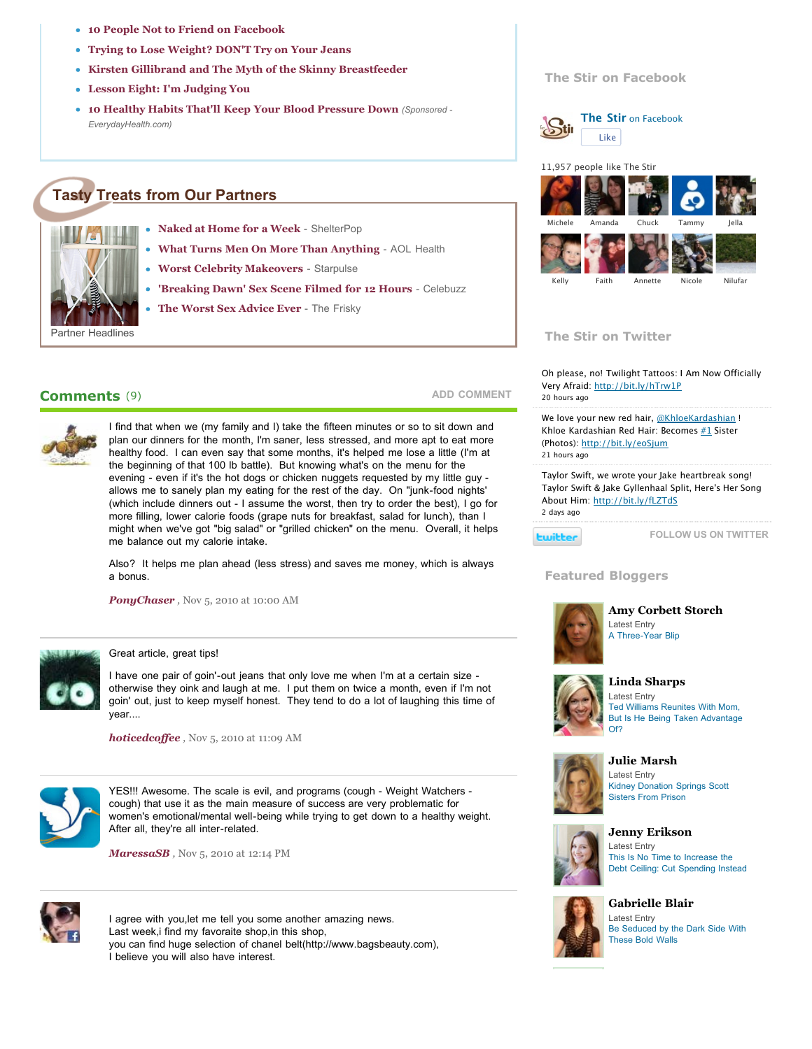- **[10 People Not to Friend on Facebook](http://thestir.cafemom.com/healthy_living/113665/10_people_not_to_friend)**
- **[Trying to Lose Weight? DON'T Try on Your Jeans](http://thestir.cafemom.com/healthy_living/112546/trying_to_lose_weight_dont)**
- **[Kirsten Gillibrand and The Myth of the Skinny Breastfeeder](http://thestir.cafemom.com/baby/112017/kirsten_gillibrand_the_myth_of)**
- **[Lesson Eight: I'm Judging You](http://thestir.cafemom.com/baby/114390/lesson_eight_im_judging_you)**
- **[10 Healthy Habits That'll Keep Your Blood Pressure Down](http://www.everydayhealth.com/hypertension-pictures/10-habits-for-hypertension-prevention.aspx)** *(Sponsored - EverydayHealth.com)*

# **Tasty Treats from Our Partners**



- **[Naked at Home for a Week](http://www.shelterpop.com/2010/12/16/naked-at-home/)** ShelterPop
	- **[What Turns Men On More Than Anything](http://www.aolhealth.com/2010/11/24/men-turn-on-pumpkin-pie-smell/)** AOL Health
- **[Worst Celebrity Makeovers](http://www.starpulse.com/news/index.php/2010/12/24/the_worst_celebrity_makeovers_of_2010)** Starpulse
- **['Breaking Dawn' Sex Scene Filmed for 12 Hours](http://www.celebuzz.com/breaking-dawn-sex-scene-filmed-s281551/)** Celebuzz
	- **[The Worst Sex Advice Ever](http://www.thefrisky.com/post/246-whats-the-worst-sex-advice-youve-been-given/)** The Frisky

# **Comments**  (9)



I find that when we (my family and I) take the fifteen minutes or so to sit down and plan our dinners for the month, I'm saner, less stressed, and more apt to eat more healthy food. I can even say that some months, it's helped me lose a little (I'm at the beginning of that 100 lb battle). But knowing what's on the menu for the evening - even if it's the hot dogs or chicken nuggets requested by my little guy allows me to sanely plan my eating for the rest of the day. On "junk-food nights' (which include dinners out - I assume the worst, then try to order the best), I go for more filling, lower calorie foods (grape nuts for breakfast, salad for lunch), than I might when we've got "big salad" or "grilled chicken" on the menu. Overall, it helps me balance out my calorie intake.

Also? It helps me plan ahead (less stress) and saves me money, which is always a bonus.

**[PonyChaser](http://www.cafemom.com/home/PonyChaser)**, Nov 5, 2010 at 10:00 AM



#### Great article, great tips!

I have one pair of goin'-out jeans that only love me when I'm at a certain size [otherwise they oink and laugh at me. I put them on twice a month, even if I'm not](http://feeds.feedburner.com/cafemom/thestir/blogger/15) goin' out, just to keep myself honest. They tend to do a lot of laughing this time of year....

*[hoticedcoffee](http://www.cafemom.com/home/hoticedcoffee) ,* Nov 5, 2010 at 11:09 AM



YES!!! Awesome. The scale is evil, and programs (cough - Weight Watchers cough) that use it as the main measure of success are very problematic for women's emotional/mental well-being while trying to get down to a healthy weight. [After all, they're all inter-related.](http://feeds.feedburner.com/cafemom/thestir/blogger/32) 

*[MaressaSB](http://www.cafemom.com/home/MaressaSB) ,* Nov 5, 2010 at 12:14 PM



I agree with you,let me tell you some another amazing news. Last week,i find my favoraite shop,in this shop, you can find huge selection of chanel belt(http://www.bagsbeauty.com), I believe you will also have interest.

### **The Stir on Facebook**



**[The Stir](http://www.facebook.com/thestir)** on Facebook Like



#### **The Stir on Twitter**

Oh please, no! Twilight Tattoos: I Am Now Officially Very Afraid:<http://bit.ly/hTrw1P> [20 hours ago](http://www.twitter.com/the_stir/status/23148559809388544)

We love your new red hair, [@KhloeKardashian](http://twitter.com/KhloeKardashian) ! Khloe Kardashian Red Hair: Becomes  $#1$  Sister (Photos): <http://bit.ly/eoSjum> [21 hours ago](http://www.twitter.com/the_stir/status/23140679106437120)

Taylor Swift, we wrote your Jake heartbreak song! Taylor Swift & Jake Gyllenhaal Split, Here's Her Song About Him: <http://bit.ly/fLZTdS> [2 days ago](http://www.twitter.com/the_stir/status/22494597288566784)

**Ewitter** 

**[ADD COMMENT](http://thestir.cafemom.com/healthy_living/111923/how_to_banish_the_scale#commentBox)**

**[FOLLOW US ON TWITTER](http://www.twitter.com/the_stir)**

#### **Featured Bloggers**



**[Amy Corbett Storch](http://feeds.feedburner.com/cafemom/thestir/blogger/14)** Latest Entry [A Three-Year Blip](http://thestir.cafemom.com/healthy_living/111923/http://thestir.cafemom.com/toddler/114427/a_threeyear_blip)



## **[Linda Sharps](http://thestir.cafemom.com/blogger/15/linda_sharps)**

Latest Entry Ted Williams Reunites With Mom, [But Is He Being Taken Advantage](http://thestir.cafemom.com/healthy_living/111923/http://thestir.cafemom.com/entertainment/114744/ted_williams_reunites_with_mom) Of?



#### **[Julie Marsh](http://feeds.feedburner.com/cafemom/thestir/blogger/19)** Latest Entry

[Kidney Donation Springs Scott](http://thestir.cafemom.com/healthy_living/111923/http://thestir.cafemom.com/in_the_news/114739/kidney_donation_springs_scott_sisters) Sisters From Prison



## **[Jenny Erikson](http://thestir.cafemom.com/blogger/32/jenny_erikson)**

Latest Entry This Is No Time to Increase the [Debt Ceiling: Cut Spending Instead](http://thestir.cafemom.com/healthy_living/111923/http://thestir.cafemom.com/in_the_news/114719/this_is_no_time_to)



#### **[Gabrielle Blair](http://feeds.feedburner.com/cafemom/thestir/blogger/39)** Latest Entry [Be Seduced by the Dark Side With](http://thestir.cafemom.com/healthy_living/111923/http://thestir.cafemom.com/home_garden/114688/be_seduced_by_the_dark) These Bold Walls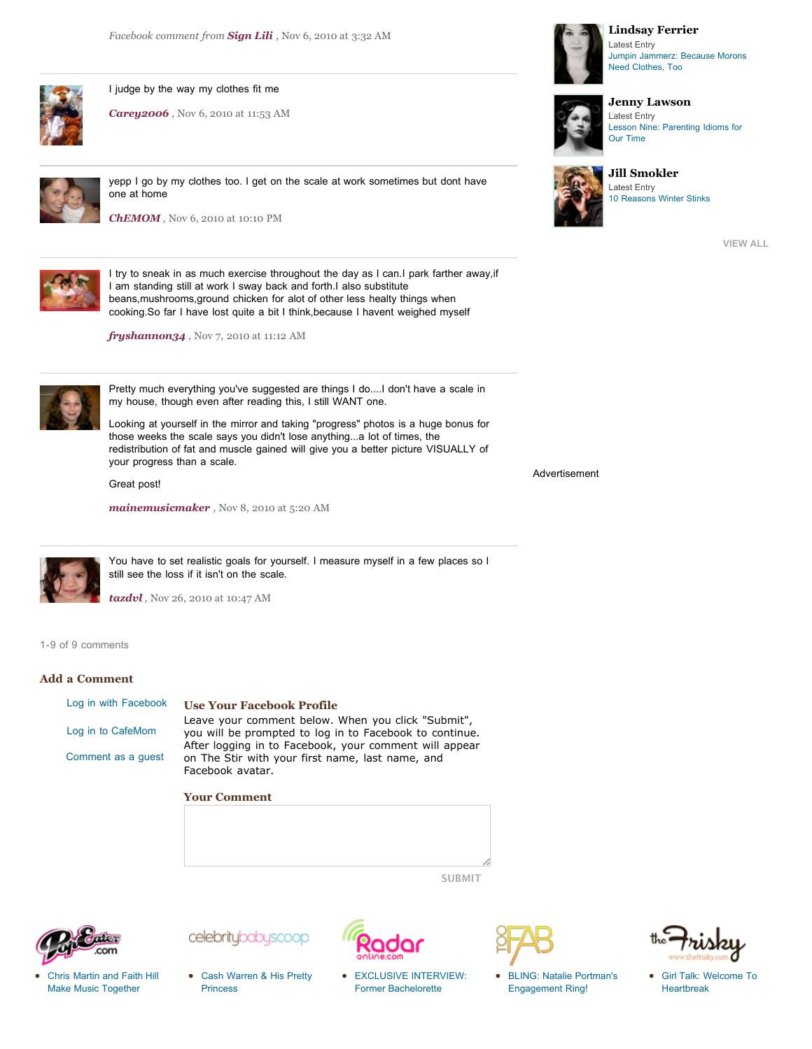

I judge by the way my clothes fit me

*[Carey2006](http://www.cafemom.com/home/Carey2006) ,* Nov 6, 2010 at 11:53 AM



[yepp I go by my clothes too. I get on the scale at work sometimes but dont have](http://feeds.feedburner.com/cafemom/thestir/blogger/75) one at home

*[ChEMOM](http://www.cafemom.com/home/ChEMOM) ,* Nov 6, 2010 at 10:10 PM



I try to sneak in as much exercise throughout the day as I can.I park farther away,if I am standing still at work I sway back and forth.I also substitute beans,mushrooms,ground chicken for alot of other less healty things when cooking.So far I have lost quite a bit I think,because I havent weighed myself

*[fryshannon34](http://www.cafemom.com/home/fryshannon34) ,* Nov 7, 2010 at 11:12 AM



Pretty much everything you've suggested are things I do....I don't have a scale in my house, though even after reading this, I still WANT one.

Looking at yourself in the mirror and taking "progress" photos is a huge bonus for those weeks the scale says you didn't lose anything...a lot of times, the redistribution of fat and muscle gained will give you a better picture VISUALLY of your progress than a scale.

Great post!

*[mainemusicmaker](http://www.cafemom.com/home/mainemusicmaker) ,* Nov 8, 2010 at 5:20 AM



You have to set realistic goals for yourself. I measure myself in a few places so I still see the loss if it isn't on the scale.

*[tazdvl](http://www.cafemom.com/home/tazdvl) ,* Nov 26, 2010 at 10:47 AM

1-9 of 9 comments

#### **Add a Comment**

[Log in with Facebook](http://thestir.cafemom.com/healthy_living/111923/how_to_banish_the_scale#) [Log in to CafeMom](http://thestir.cafemom.com/healthy_living/111923/how_to_banish_the_scale#) [Comment as a guest](http://thestir.cafemom.com/healthy_living/111923/how_to_banish_the_scale#)

#### **Use Your Facebook Profile**

Leave your comment below. When you click "Submit", you will be prompted to log in to Facebook to continue. After logging in to Facebook, your comment will appear on The Stir with your first name, last name, and Facebook avatar.

**Your Comment**







[Cash Warren & His Pretty](http://www.celebritybabyscoop.com/2011/01/07/cash-warren-his-pretty-princess) Princess

celebritybabyscoop



[EXCLUSIVE INTERVIEW:](http://www.radaronline.com/exclusives/2011/01/exclusive-interview-former-bachelorette-winner-jesse-csincsak-saves-mans-life-0) Former Bachelorette

[BLING: Natalie Portman's](http://www.toofab.com/2011/01/07/natalie-portman-engagement-ring-benjamin-millipied-photo/) Engagement Ring!



[Girl Talk: Welcome To](http://www.thefrisky.com/post/246-girl-talk-welcome-to-heartbreak/?eref=RSS) Heartbreak



#### **[Lindsay Ferrier](http://feeds.feedburner.com/cafemom/thestir/blogger/50)** Latest Entry [Jumpin Jammerz: Because Morons](http://thestir.cafemom.com/healthy_living/111923/http://thestir.cafemom.com/beauty_style/114748/jumpin_jammerz_would_you_wear) Need Clothes, Too





**[Jill Smokler](http://thestir.cafemom.com/blogger/75/jill_smokler)** Latest Entry [10 Reasons Winter Stinks](http://thestir.cafemom.com/healthy_living/111923/http://thestir.cafemom.com/toddler/114485/10_reasons_winter_stinks)

**[VIEW ALL](http://thestir.cafemom.com/bloggers)**

Advertisement